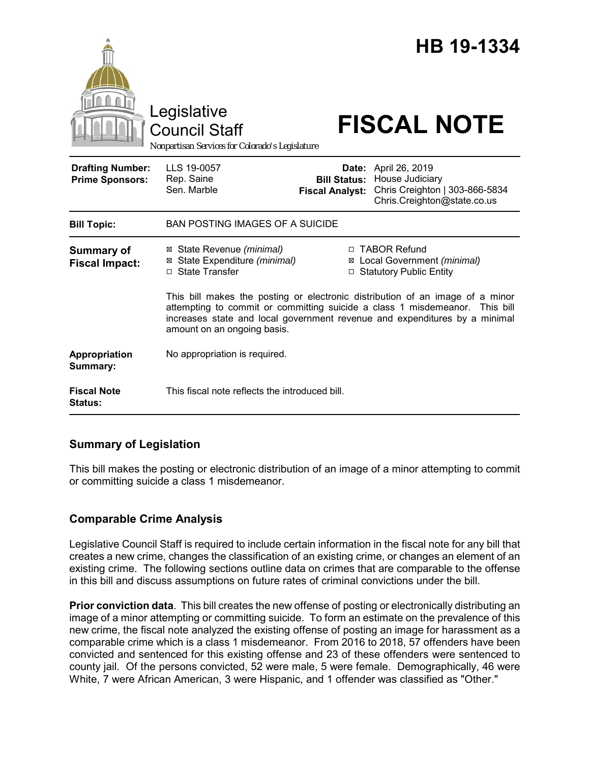|                                                   | Legislative<br><b>Council Staff</b><br>Nonpartisan Services for Colorado's Legislature                                                                                                                                                                                    |                                                        | <b>HB 19-1334</b><br><b>FISCAL NOTE</b>                                                            |
|---------------------------------------------------|---------------------------------------------------------------------------------------------------------------------------------------------------------------------------------------------------------------------------------------------------------------------------|--------------------------------------------------------|----------------------------------------------------------------------------------------------------|
| <b>Drafting Number:</b><br><b>Prime Sponsors:</b> | LLS 19-0057<br>Rep. Saine<br>Sen. Marble                                                                                                                                                                                                                                  | Date:<br><b>Bill Status:</b><br><b>Fiscal Analyst:</b> | April 26, 2019<br>House Judiciary<br>Chris Creighton   303-866-5834<br>Chris.Creighton@state.co.us |
| <b>Bill Topic:</b>                                | <b>BAN POSTING IMAGES OF A SUICIDE</b>                                                                                                                                                                                                                                    |                                                        |                                                                                                    |
| <b>Summary of</b><br><b>Fiscal Impact:</b>        | ⊠ State Revenue (minimal)<br>⊠ State Expenditure (minimal)<br>□ State Transfer                                                                                                                                                                                            |                                                        | □ TABOR Refund<br>⊠ Local Government (minimal)<br>□ Statutory Public Entity                        |
|                                                   | This bill makes the posting or electronic distribution of an image of a minor<br>attempting to commit or committing suicide a class 1 misdemeanor. This bill<br>increases state and local government revenue and expenditures by a minimal<br>amount on an ongoing basis. |                                                        |                                                                                                    |
| Appropriation<br>Summary:                         | No appropriation is required.                                                                                                                                                                                                                                             |                                                        |                                                                                                    |
| <b>Fiscal Note</b><br><b>Status:</b>              | This fiscal note reflects the introduced bill.                                                                                                                                                                                                                            |                                                        |                                                                                                    |

## **Summary of Legislation**

This bill makes the posting or electronic distribution of an image of a minor attempting to commit or committing suicide a class 1 misdemeanor.

# **Comparable Crime Analysis**

Legislative Council Staff is required to include certain information in the fiscal note for any bill that creates a new crime, changes the classification of an existing crime, or changes an element of an existing crime. The following sections outline data on crimes that are comparable to the offense in this bill and discuss assumptions on future rates of criminal convictions under the bill.

**Prior conviction data**. This bill creates the new offense of posting or electronically distributing an image of a minor attempting or committing suicide. To form an estimate on the prevalence of this new crime, the fiscal note analyzed the existing offense of posting an image for harassment as a comparable crime which is a class 1 misdemeanor. From 2016 to 2018, 57 offenders have been convicted and sentenced for this existing offense and 23 of these offenders were sentenced to county jail. Of the persons convicted, 52 were male, 5 were female. Demographically, 46 were White, 7 were African American, 3 were Hispanic, and 1 offender was classified as "Other."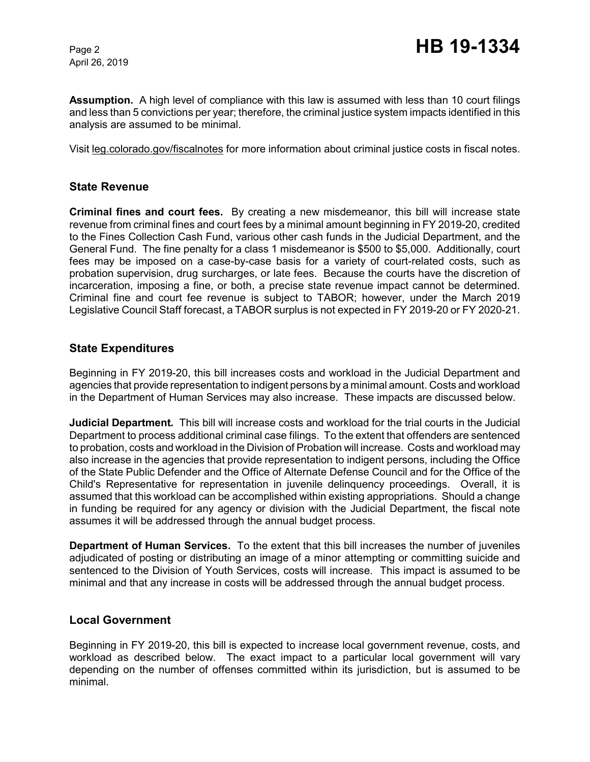April 26, 2019

**Assumption.** A high level of compliance with this law is assumed with less than 10 court filings and less than 5 convictions per year; therefore, the criminal justice system impacts identified in this analysis are assumed to be minimal.

Visit leg.colorado.gov/fiscalnotes for more information about criminal justice costs in fiscal notes.

## **State Revenue**

**Criminal fines and court fees.** By creating a new misdemeanor, this bill will increase state revenue from criminal fines and court fees by a minimal amount beginning in FY 2019-20, credited to the Fines Collection Cash Fund, various other cash funds in the Judicial Department, and the General Fund. The fine penalty for a class 1 misdemeanor is \$500 to \$5,000. Additionally, court fees may be imposed on a case-by-case basis for a variety of court-related costs, such as probation supervision, drug surcharges, or late fees. Because the courts have the discretion of incarceration, imposing a fine, or both, a precise state revenue impact cannot be determined. Criminal fine and court fee revenue is subject to TABOR; however, under the March 2019 Legislative Council Staff forecast, a TABOR surplus is not expected in FY 2019-20 or FY 2020-21.

## **State Expenditures**

Beginning in FY 2019-20, this bill increases costs and workload in the Judicial Department and agencies that provide representation to indigent persons by a minimal amount. Costs and workload in the Department of Human Services may also increase. These impacts are discussed below.

**Judicial Department***.* This bill will increase costs and workload for the trial courts in the Judicial Department to process additional criminal case filings. To the extent that offenders are sentenced to probation, costs and workload in the Division of Probation will increase. Costs and workload may also increase in the agencies that provide representation to indigent persons, including the Office of the State Public Defender and the Office of Alternate Defense Council and for the Office of the Child's Representative for representation in juvenile delinquency proceedings. Overall, it is assumed that this workload can be accomplished within existing appropriations. Should a change in funding be required for any agency or division with the Judicial Department, the fiscal note assumes it will be addressed through the annual budget process.

**Department of Human Services.** To the extent that this bill increases the number of juveniles adjudicated of posting or distributing an image of a minor attempting or committing suicide and sentenced to the Division of Youth Services, costs will increase. This impact is assumed to be minimal and that any increase in costs will be addressed through the annual budget process.

### **Local Government**

Beginning in FY 2019-20, this bill is expected to increase local government revenue, costs, and workload as described below. The exact impact to a particular local government will vary depending on the number of offenses committed within its jurisdiction, but is assumed to be minimal.